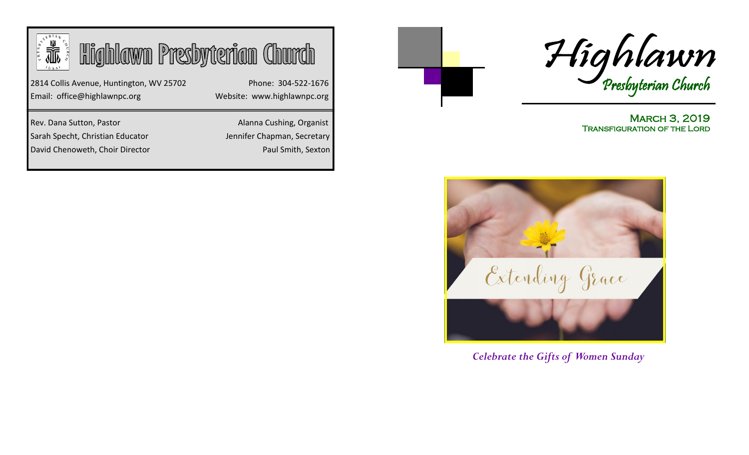| <b>Highlawn Presbyterian Church</b>                                      |                                                    |
|--------------------------------------------------------------------------|----------------------------------------------------|
| 2814 Collis Avenue, Huntington, WV 25702<br>Email: office@highlawnpc.org | Phone: 304-522-1676<br>Website: www.highlawnpc.org |
| Rev. Dana Sutton, Pastor                                                 | Alanna Cushing, Organist                           |
| Sarah Specht, Christian Educator                                         | Jennifer Chapman, Secretary                        |
| David Chenoweth, Choir Director                                          | Paul Smith, Sexton                                 |



**MARCH 3, 2019** Transfiguration of the Lord



*Celebrate the Gifts of Women Sunday*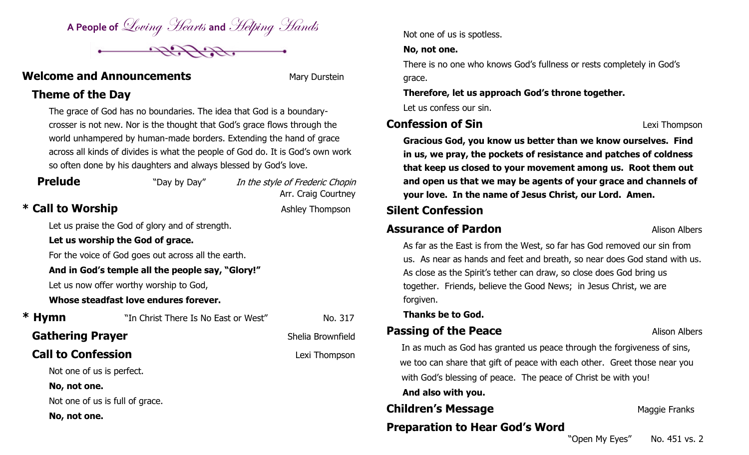A People of *Loving Hearts* and *Helping Hands* 



### **Welcome and Announcements Mary Durstein**

## **Theme of the Day**

The grace of God has no boundaries. The idea that God is a boundarycrosser is not new. Nor is the thought that God's grace flows through the world unhampered by human-made borders. Extending the hand of grace across all kinds of divides is what the people of God do. It is God's own work so often done by his daughters and always blessed by God's love.

# **Prelude** "Day by Day" In the style of Frederic Chopin Arr. Craig Courtney \* Call to Worship **Ashley Thompson** Let us praise the God of glory and of strength. **Let us worship the God of grace.** For the voice of God goes out across all the earth. **And in God's temple all the people say, "Glory!"** Let us now offer worthy worship to God, **Whose steadfast love endures forever. \* Hymn** "In Christ There Is No East or West" No. 317 **Gathering Prayer Shelia Brownfield Call to Confession Call to Confession** Not one of us is perfect. **No, not one.** Not one of us is full of grace. **No, not one.**

Not one of us is spotless.

### **No, not one.**

There is no one who knows God's fullness or rests completely in God's grace.

### **Therefore, let us approach God's throne together.**

Let us confess our sin.

## **Confession of Sin Confession of Sin**

**Gracious God, you know us better than we know ourselves. Find in us, we pray, the pockets of resistance and patches of coldness that keep us closed to your movement among us. Root them out and open us that we may be agents of your grace and channels of your love. In the name of Jesus Christ, our Lord. Amen.** 

## **Silent Confession**

## **Assurance of Pardon Alison Alison Albers**

As far as the East is from the West, so far has God removed our sin from us. As near as hands and feet and breath, so near does God stand with us. As close as the Spirit's tether can draw, so close does God bring us together. Friends, believe the Good News; in Jesus Christ, we are forgiven.

**Thanks be to God.**

## **Passing of the Peace Alison Albers**

 In as much as God has granted us peace through the forgiveness of sins, we too can share that gift of peace with each other. Greet those near you with God's blessing of peace. The peace of Christ be with you!  **And also with you.**

**Children's Message Children's Maggie Franks** 

# **Preparation to Hear God's Word**

"Open My Eyes" No. 451 vs. 2